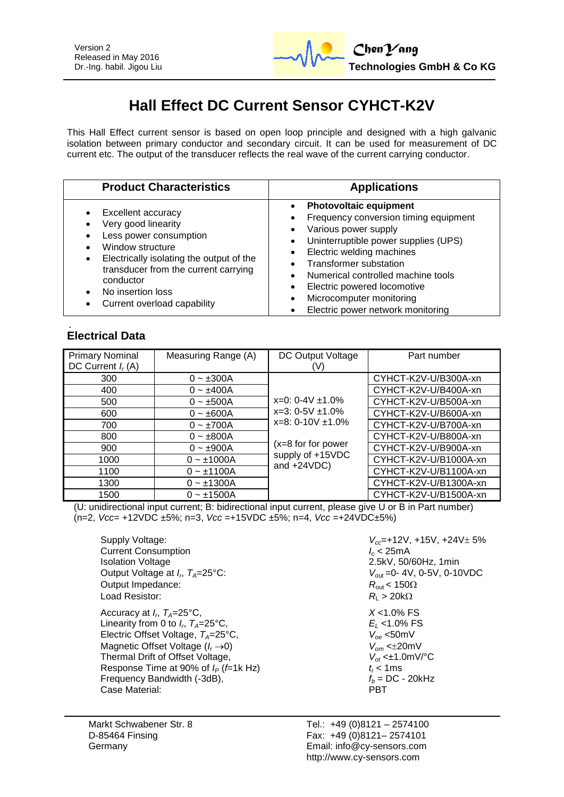

## **Hall Effect DC Current Sensor CYHCT-K2V**

This Hall Effect current sensor is based on open loop principle and designed with a high galvanic isolation between primary conductor and secondary circuit. It can be used for measurement of DC current etc. The output of the transducer reflects the real wave of the current carrying conductor.

| <b>Product Characteristics</b>                                                                                                                                                                                                                                 | <b>Applications</b>                                                                                                                                                                                                                                                                                                                        |  |
|----------------------------------------------------------------------------------------------------------------------------------------------------------------------------------------------------------------------------------------------------------------|--------------------------------------------------------------------------------------------------------------------------------------------------------------------------------------------------------------------------------------------------------------------------------------------------------------------------------------------|--|
| Excellent accuracy<br>Very good linearity<br>Less power consumption<br>Window structure<br>Electrically isolating the output of the<br>$\bullet$<br>transducer from the current carrying<br>conductor<br>No insertion loss<br>Current overload capability<br>٠ | <b>Photovoltaic equipment</b><br>Frequency conversion timing equipment<br>Various power supply<br>Uninterruptible power supplies (UPS)<br>Electric welding machines<br><b>Transformer substation</b><br>Numerical controlled machine tools<br>Electric powered locomotive<br>Microcomputer monitoring<br>Electric power network monitoring |  |

### **Electrical Data**

| <b>Primary Nominal</b> | Measuring Range (A) | DC Output Voltage                                                                                                                       | Part number           |
|------------------------|---------------------|-----------------------------------------------------------------------------------------------------------------------------------------|-----------------------|
| DC Current $I_r(A)$    |                     |                                                                                                                                         |                       |
| 300                    | $0 - \pm 300A$      | $x=0$ : 0-4V $\pm$ 1.0%<br>$x=3: 0-5V \pm 1.0\%$<br>$x=8:0-10V \pm 1.0\%$<br>$(x=8$ for for power<br>supply of +15VDC<br>and $+24VDC$ ) | CYHCT-K2V-U/B300A-xn  |
| 400                    | $0 - \pm 400A$      |                                                                                                                                         | CYHCT-K2V-U/B400A-xn  |
| 500                    | $0 - \pm 500A$      |                                                                                                                                         | CYHCT-K2V-U/B500A-xn  |
| 600                    | $0 - \pm 600A$      |                                                                                                                                         | CYHCT-K2V-U/B600A-xn  |
| 700                    | $0 - \pm 700A$      |                                                                                                                                         | CYHCT-K2V-U/B700A-xn  |
| 800                    | $0 - \pm 800A$      |                                                                                                                                         | CYHCT-K2V-U/B800A-xn  |
| 900                    | $0 - \pm 900A$      |                                                                                                                                         | CYHCT-K2V-U/B900A-xn  |
| 1000                   | $0 - \pm 1000A$     |                                                                                                                                         | CYHCT-K2V-U/B1000A-xn |
| 1100                   | $0 - 1100A$         |                                                                                                                                         | CYHCT-K2V-U/B1100A-xn |
| 1300                   | $0 - \pm 1300A$     |                                                                                                                                         | CYHCT-K2V-U/B1300A-xn |
| 1500                   | $0 - \pm 1500A$     |                                                                                                                                         | CYHCT-K2V-U/B1500A-xn |

(U: unidirectional input current; B: bidirectional input current, please give U or B in Part number) (n=2, *Vcc*= +12VDC ±5%; n=3, *Vcc* =+15VDC ±5%; n=4, *Vcc* =+24VDC±5%)

Supply Voltage: *V*<sub>cc</sub>=+12V, +15V, +24V± 5%<br>Current Consumption *I<sub>c</sub>* < 25mA **Current Consumption** Isolation Voltage 2.5kV, 50/60Hz, 1min Output Voltage at *I<sub>r</sub>*,  $T_A = 25^{\circ}$ C: Output Impedance:  $R_{\text{out}} < 150\Omega$ Load Resistor:  $R_1 > 20k\Omega$ 

Accuracy at  $I_r$ ,  $T_A=25^{\circ}$ C, Linearity from 0 to  $I_{n}$ ,  $T_{A}=25^{\circ}$ C, Electric Offset Voltage, *TA*=25°C, *Voe* <50mV Magnetic Offset Voltage ( $I_r \rightarrow 0$ )<br>Thermal Drift of Offset Voltage,  $V_{of} \le \pm 1.0 \text{mV}$ <sup>o</sup>C Thermal Drift of Offset Voltage,  $V_{ot} \lt\pm 1.0$ <br>Response Time at 90% of  $I_P$  (*f*=1k Hz)  $t_r < 1$  ms Response Time at 90% of  $I_P$  (*f*=1k Hz)  $t_r < 1$ ms<br>Frequency Bandwidth (-3dB),  $f_b = DC - 20$ kHz Frequency Bandwidth (-3dB),  $f_b = 0$ <br>Case Material: **PRT** Case Material:

 $V_{\text{out}}$  = 0- 4 V, 0-5 V, 0-10 VDC , *TA*=25°C, *X* <1.0% FS  $E_I$  <1.0% FS

Tel.: +49 (0)8121 – 2574100 Fax: +49 (0)8121– 2574101 Email: info@cy-sensors.com http://www.cy-sensors.com

Markt Schwabener Str. 8 D-85464 Finsing Germany